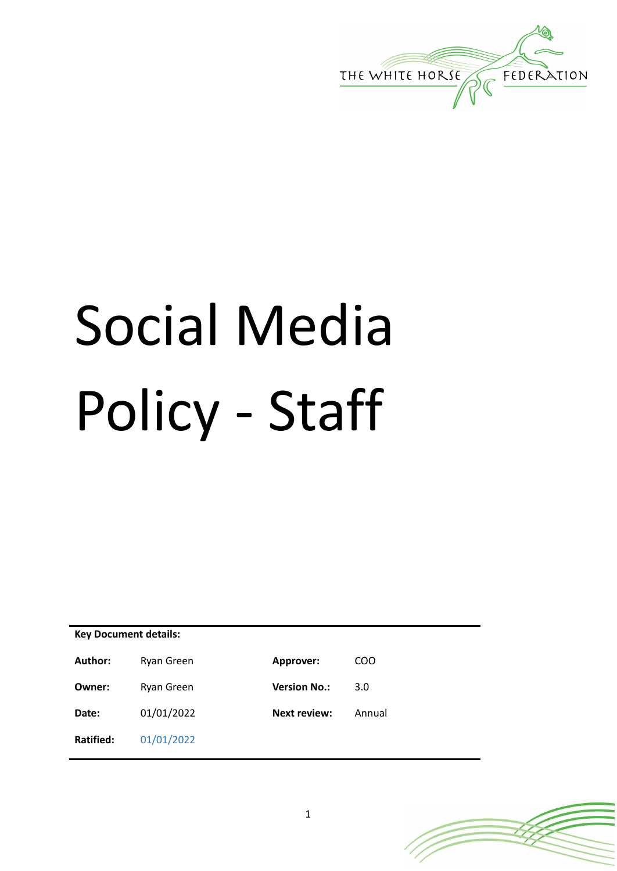

# Social Media Policy - Staff

| <b>Key Document details:</b> |            |                     |        |
|------------------------------|------------|---------------------|--------|
| Author:                      | Ryan Green | Approver:           | COO    |
| Owner:                       | Ryan Green | <b>Version No.:</b> | 3.0    |
| Date:                        | 01/01/2022 | <b>Next review:</b> | Annual |
| Ratified:                    | 01/01/2022 |                     |        |

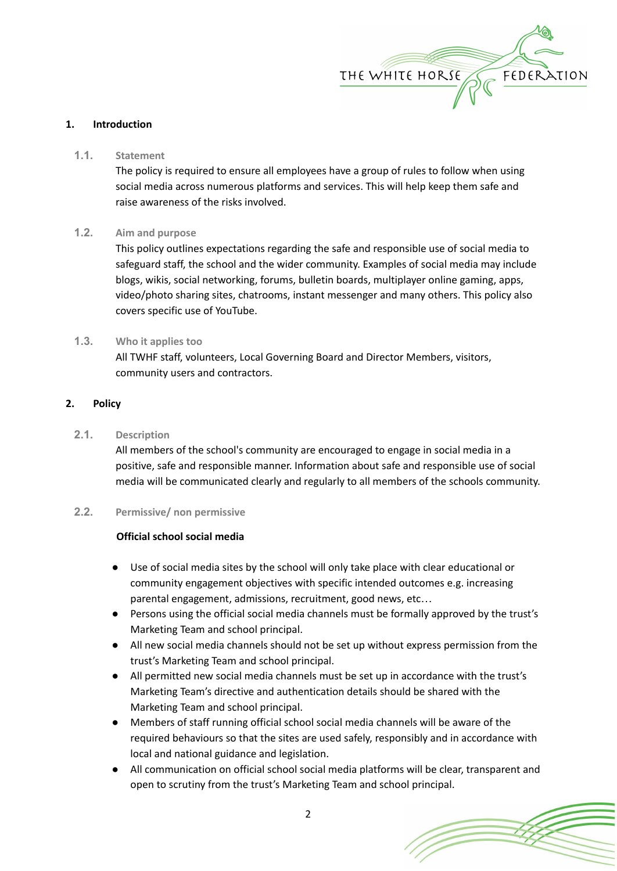

## **1. Introduction**

## **1.1. Statement**

The policy is required to ensure all employees have a group of rules to follow when using social media across numerous platforms and services. This will help keep them safe and raise awareness of the risks involved.

## **1.2. Aim and purpose**

This policy outlines expectations regarding the safe and responsible use of social media to safeguard staff, the school and the wider community. Examples of social media may include blogs, wikis, social networking, forums, bulletin boards, multiplayer online gaming, apps, video/photo sharing sites, chatrooms, instant messenger and many others. This policy also covers specific use of YouTube.

## **1.3. Who it applies too**

All TWHF staff, volunteers, Local Governing Board and Director Members, visitors, community users and contractors.

## **2. Policy**

## **2.1. Description**

All members of the school's community are encouraged to engage in social media in a positive, safe and responsible manner. Information about safe and responsible use of social media will be communicated clearly and regularly to all members of the schools community.

## **2.2. Permissive/ non permissive**

## **Official school social media**

- Use of social media sites by the school will only take place with clear educational or community engagement objectives with specific intended outcomes e.g. increasing parental engagement, admissions, recruitment, good news, etc…
- Persons using the official social media channels must be formally approved by the trust's Marketing Team and school principal.
- All new social media channels should not be set up without express permission from the trust's Marketing Team and school principal.
- All permitted new social media channels must be set up in accordance with the trust's Marketing Team's directive and authentication details should be shared with the Marketing Team and school principal.
- Members of staff running official school social media channels will be aware of the required behaviours so that the sites are used safely, responsibly and in accordance with local and national guidance and legislation.
- All communication on official school social media platforms will be clear, transparent and open to scrutiny from the trust's Marketing Team and school principal.

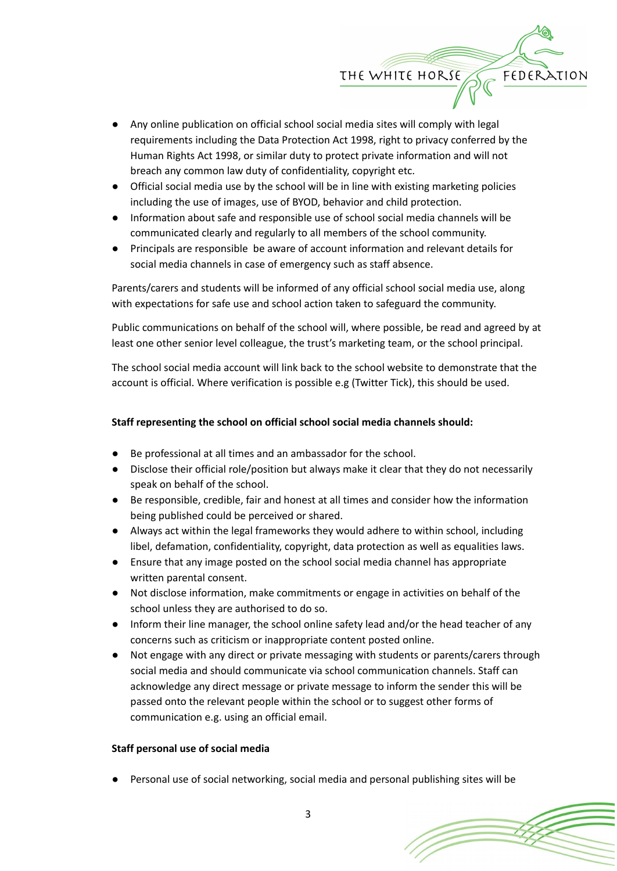

- Any online publication on official school social media sites will comply with legal requirements including the Data Protection Act 1998, right to privacy conferred by the Human Rights Act 1998, or similar duty to protect private information and will not breach any common law duty of confidentiality, copyright etc.
- Official social media use by the school will be in line with existing marketing policies including the use of images, use of BYOD, behavior and child protection.
- Information about safe and responsible use of school social media channels will be communicated clearly and regularly to all members of the school community.
- Principals are responsible be aware of account information and relevant details for social media channels in case of emergency such as staff absence.

Parents/carers and students will be informed of any official school social media use, along with expectations for safe use and school action taken to safeguard the community.

Public communications on behalf of the school will, where possible, be read and agreed by at least one other senior level colleague, the trust's marketing team, or the school principal.

The school social media account will link back to the school website to demonstrate that the account is official. Where verification is possible e.g (Twitter Tick), this should be used.

# **Staff representing the school on official school social media channels should:**

- Be professional at all times and an ambassador for the school.
- Disclose their official role/position but always make it clear that they do not necessarily speak on behalf of the school.
- Be responsible, credible, fair and honest at all times and consider how the information being published could be perceived or shared.
- Always act within the legal frameworks they would adhere to within school, including libel, defamation, confidentiality, copyright, data protection as well as equalities laws.
- Ensure that any image posted on the school social media channel has appropriate written parental consent.
- Not disclose information, make commitments or engage in activities on behalf of the school unless they are authorised to do so.
- Inform their line manager, the school online safety lead and/or the head teacher of any concerns such as criticism or inappropriate content posted online.
- Not engage with any direct or private messaging with students or parents/carers through social media and should communicate via school communication channels. Staff can acknowledge any direct message or private message to inform the sender this will be passed onto the relevant people within the school or to suggest other forms of communication e.g. using an official email.

## **Staff personal use of social media**

Personal use of social networking, social media and personal publishing sites will be

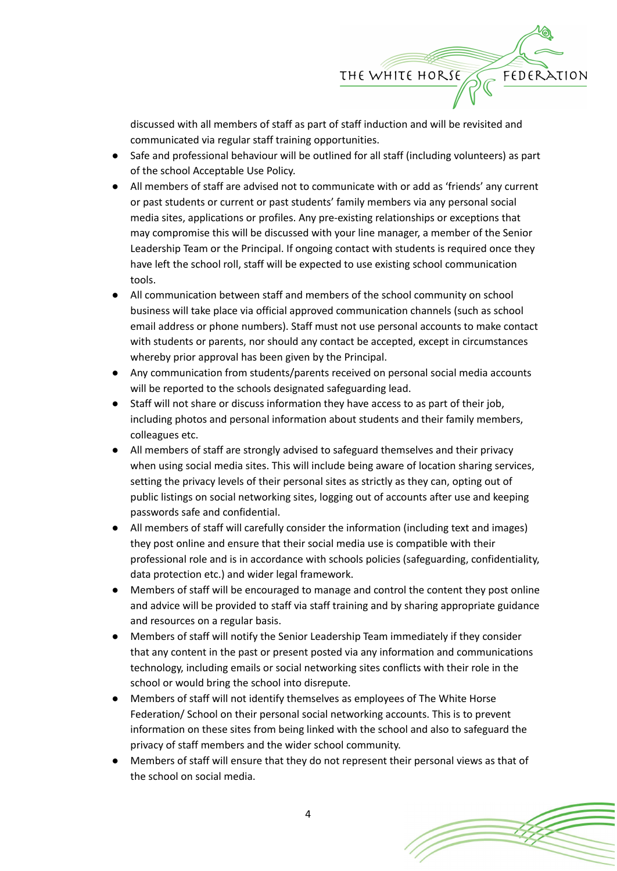

discussed with all members of staff as part of staff induction and will be revisited and communicated via regular staff training opportunities.

- Safe and professional behaviour will be outlined for all staff (including volunteers) as part of the school Acceptable Use Policy.
- All members of staff are advised not to communicate with or add as 'friends' any current or past students or current or past students' family members via any personal social media sites, applications or profiles. Any pre-existing relationships or exceptions that may compromise this will be discussed with your line manager, a member of the Senior Leadership Team or the Principal. If ongoing contact with students is required once they have left the school roll, staff will be expected to use existing school communication tools.
- All communication between staff and members of the school community on school business will take place via official approved communication channels (such as school email address or phone numbers). Staff must not use personal accounts to make contact with students or parents, nor should any contact be accepted, except in circumstances whereby prior approval has been given by the Principal.
- Any communication from students/parents received on personal social media accounts will be reported to the schools designated safeguarding lead.
- Staff will not share or discuss information they have access to as part of their job, including photos and personal information about students and their family members, colleagues etc.
- All members of staff are strongly advised to safeguard themselves and their privacy when using social media sites. This will include being aware of location sharing services, setting the privacy levels of their personal sites as strictly as they can, opting out of public listings on social networking sites, logging out of accounts after use and keeping passwords safe and confidential.
- All members of staff will carefully consider the information (including text and images) they post online and ensure that their social media use is compatible with their professional role and is in accordance with schools policies (safeguarding, confidentiality, data protection etc.) and wider legal framework.
- Members of staff will be encouraged to manage and control the content they post online and advice will be provided to staff via staff training and by sharing appropriate guidance and resources on a regular basis.
- Members of staff will notify the Senior Leadership Team immediately if they consider that any content in the past or present posted via any information and communications technology, including emails or social networking sites conflicts with their role in the school or would bring the school into disrepute.
- Members of staff will not identify themselves as employees of The White Horse Federation/ School on their personal social networking accounts. This is to prevent information on these sites from being linked with the school and also to safeguard the privacy of staff members and the wider school community.
- Members of staff will ensure that they do not represent their personal views as that of the school on social media.

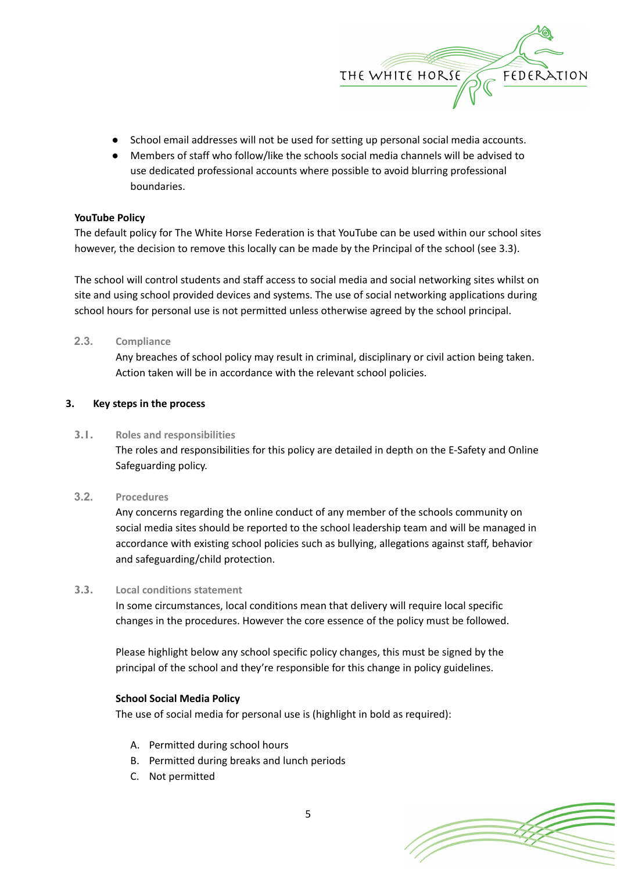

- School email addresses will not be used for setting up personal social media accounts.
- Members of staff who follow/like the schools social media channels will be advised to use dedicated professional accounts where possible to avoid blurring professional boundaries.

## **YouTube Policy**

The default policy for The White Horse Federation is that YouTube can be used within our school sites however, the decision to remove this locally can be made by the Principal of the school (see 3.3).

The school will control students and staff access to social media and social networking sites whilst on site and using school provided devices and systems. The use of social networking applications during school hours for personal use is not permitted unless otherwise agreed by the school principal.

# **2.3. Compliance**

Any breaches of school policy may result in criminal, disciplinary or civil action being taken. Action taken will be in accordance with the relevant school policies.

# **3. Key steps in the process**

# **3.1. Roles and responsibilities**

The roles and responsibilities for this policy are detailed in depth on the E-Safety and Online Safeguarding policy.

## **3.2. Procedures**

Any concerns regarding the online conduct of any member of the schools community on social media sites should be reported to the school leadership team and will be managed in accordance with existing school policies such as bullying, allegations against staff, behavior and safeguarding/child protection.

## **3.3. Local conditions statement**

In some circumstances, local conditions mean that delivery will require local specific changes in the procedures. However the core essence of the policy must be followed.

Please highlight below any school specific policy changes, this must be signed by the principal of the school and they're responsible for this change in policy guidelines.

## **School Social Media Policy**

The use of social media for personal use is (highlight in bold as required):

- A. Permitted during school hours
- B. Permitted during breaks and lunch periods
- C. Not permitted